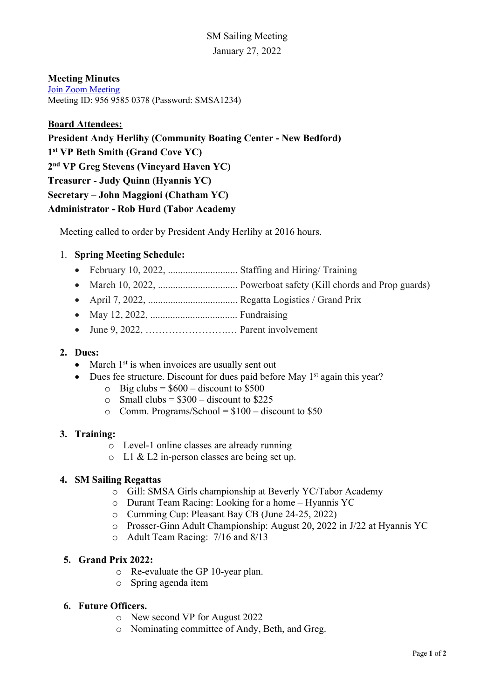January 27, 2022

## **Meeting Minutes**

Join Zoom Meeting Meeting ID: 956 9585 0378 (Password: SMSA1234)

### **Board Attendees:**

**President Andy Herlihy (Community Boating Center - New Bedford) 1st VP Beth Smith (Grand Cove YC) 2nd VP Greg Stevens (Vineyard Haven YC) Treasurer - Judy Quinn (Hyannis YC) Secretary – John Maggioni (Chatham YC) Administrator - Rob Hurd (Tabor Academy**

Meeting called to order by President Andy Herlihy at 2016 hours.

## 1. **Spring Meeting Schedule:**

- February 10, 2022, ............................ Staffing and Hiring/ Training
- March 10, 2022, ................................ Powerboat safety (Kill chords and Prop guards)
- April 7, 2022, .................................... Regatta Logistics / Grand Prix
- May 12, 2022, ................................... Fundraising
- June 9, 2022, …………………….… Parent involvement

#### **2. Dues:**

- March  $1<sup>st</sup>$  is when invoices are usually sent out
- Dues fee structure. Discount for dues paid before May  $1<sup>st</sup>$  again this year?
	- $\circ$  Big clubs = \$600 discount to \$500
	- $\circ$  Small clubs = \$300 discount to \$225
	- $\circ$  Comm. Programs/School = \$100 discount to \$50

#### **3. Training:**

- o Level-1 online classes are already running
- o L1 & L2 in-person classes are being set up.

#### **4. SM Sailing Regattas**

- o Gill: SMSA Girls championship at Beverly YC/Tabor Academy
- o Durant Team Racing: Looking for a home Hyannis YC
- o Cumming Cup: Pleasant Bay CB (June 24-25, 2022)
- o Prosser-Ginn Adult Championship: August 20, 2022 in J/22 at Hyannis YC
- o Adult Team Racing: 7/16 and 8/13

#### **5. Grand Prix 2022:**

- o Re-evaluate the GP 10-year plan.
- o Spring agenda item

#### **6. Future Officers.**

- o New second VP for August 2022
- o Nominating committee of Andy, Beth, and Greg.